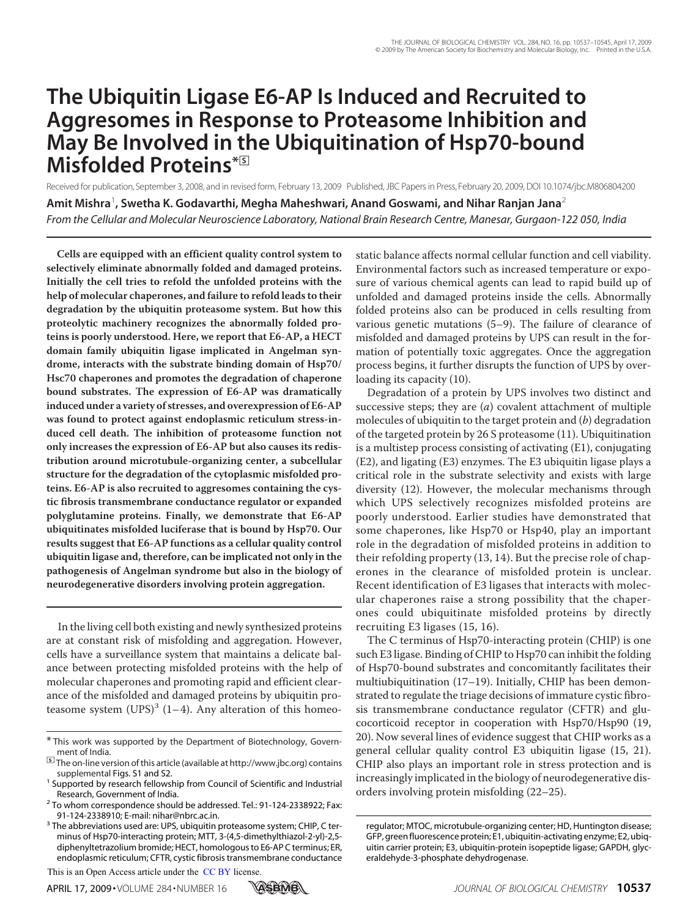# **The Ubiquitin Ligase E6-AP Is Induced and Recruited to Aggresomes in Response to Proteasome Inhibition and May Be Involved in the Ubiquitination of Hsp70-bound Misfolded Proteins\***□**<sup>S</sup>**

Received for publication, September 3, 2008, and in revised form, February 13, 2009 Published, JBC Papers in Press, February 20, 2009, DOI 10.1074/jbc.M806804200 **Amit Mishra**<sup>1</sup> **, Swetha K. Godavarthi, Megha Maheshwari, Anand Goswami, and Nihar Ranjan Jana**<sup>2</sup> *From the Cellular and Molecular Neuroscience Laboratory, National Brain Research Centre, Manesar, Gurgaon-122 050, India*

**Cells are equipped with an efficient quality control system to selectively eliminate abnormally folded and damaged proteins. Initially the cell tries to refold the unfolded proteins with the help of molecular chaperones, and failure to refold leads to their degradation by the ubiquitin proteasome system. But how this proteolytic machinery recognizes the abnormally folded proteins is poorly understood. Here, we report that E6-AP, a HECT domain family ubiquitin ligase implicated in Angelman syndrome, interacts with the substrate binding domain of Hsp70/ Hsc70 chaperones and promotes the degradation of chaperone bound substrates. The expression of E6-AP was dramatically induced under a variety of stresses, and overexpression of E6-AP was found to protect against endoplasmic reticulum stress-induced cell death. The inhibition of proteasome function not only increases the expression of E6-AP but also causes its redistribution around microtubule-organizing center, a subcellular structure for the degradation of the cytoplasmic misfolded proteins. E6-AP is also recruited to aggresomes containing the cystic fibrosis transmembrane conductance regulator or expanded polyglutamine proteins. Finally, we demonstrate that E6-AP ubiquitinates misfolded luciferase that is bound by Hsp70. Our results suggest that E6-AP functions as a cellular quality control ubiquitin ligase and, therefore, can be implicated not only in the pathogenesis of Angelman syndrome but also in the biology of neurodegenerative disorders involving protein aggregation.**

In the living cell both existing and newly synthesized proteins are at constant risk of misfolding and aggregation. However, cells have a surveillance system that maintains a delicate balance between protecting misfolded proteins with the help of molecular chaperones and promoting rapid and efficient clearance of the misfolded and damaged proteins by ubiquitin proteasome system  $(UPS)^3$  (1-4). Any alteration of this homeo-

This is an Open Access article under the CC BY license.



static balance affects normal cellular function and cell viability. Environmental factors such as increased temperature or exposure of various chemical agents can lead to rapid build up of unfolded and damaged proteins inside the cells. Abnormally folded proteins also can be produced in cells resulting from various genetic mutations (5–9). The failure of clearance of misfolded and damaged proteins by UPS can result in the formation of potentially toxic aggregates. Once the aggregation process begins, it further disrupts the function of UPS by overloading its capacity (10).

Degradation of a protein by UPS involves two distinct and successive steps; they are  $(a)$  covalent attachment of multiple molecules of ubiquitin to the target protein and  $(b)$  degradation of the targeted protein by 26 S proteasome (11). Ubiquitination is a multistep process consisting of activating (E1), conjugating (E2), and ligating (E3) enzymes. The E3 ubiquitin ligase plays a critical role in the substrate selectivity and exists with large diversity (12). However, the molecular mechanisms through which UPS selectively recognizes misfolded proteins are poorly understood. Earlier studies have demonstrated that some chaperones, like Hsp70 or Hsp40, play an important role in the degradation of misfolded proteins in addition to their refolding property (13, 14). But the precise role of chaperones in the clearance of misfolded protein is unclear. Recent identification of E3 ligases that interacts with molecular chaperones raise a strong possibility that the chaperones could ubiquitinate misfolded proteins by directly recruiting E3 ligases (15, 16).

The C terminus of Hsp70-interacting protein (CHIP) is one such E3 ligase. Binding of CHIP to Hsp70 can inhibit the folding of Hsp70-bound substrates and concomitantly facilitates their multiubiquitination (17–19). Initially, CHIP has been demonstrated to regulate the triage decisions of immature cystic fibrosis transmembrane conductance regulator (CFTR) and glucocorticoid receptor in cooperation with Hsp70/Hsp90 (19, 20). Now several lines of evidence suggest that CHIP works as a general cellular quality control E3 ubiquitin ligase (15, 21). CHIP also plays an important role in stress protection and is increasingly implicated in the biology of neurodegenerative disorders involving protein misfolding (22–25).

<sup>\*</sup> This work was supported by the Department of Biotechnology, Government of India.

<sup>□</sup>**S** The on-line version of this article (available at http://www.jbc.org) contains supplemental Figs. S1 and S2.

<sup>&</sup>lt;sup>1</sup> Supported by research fellowship from Council of Scientific and Industrial Research, Government of India.

<sup>&</sup>lt;sup>2</sup> To whom correspondence should be addressed. Tel.: 91-124-2338922; Fax: 91-124-2338910; E-mail: nihar@nbrc.ac.in.

<sup>&</sup>lt;sup>3</sup> The abbreviations used are: UPS, ubiquitin proteasome system; CHIP, C terminus of Hsp70-interacting protein; MTT, 3-(4,5-dimethylthiazol-2-yl)-2,5 diphenyltetrazolium bromide; HECT, homologous to E6-AP C terminus; ER, endoplasmic reticulum; CFTR, cystic fibrosis transmembrane conductance

regulator; MTOC, microtubule-organizing center; HD, Huntington disease; GFP, green fluorescence protein; E1, ubiquitin-activating enzyme; E2, ubiquitin carrier protein; E3, ubiquitin-protein isopeptide ligase; GAPDH, glyceraldehyde-3-phosphate dehydrogenase.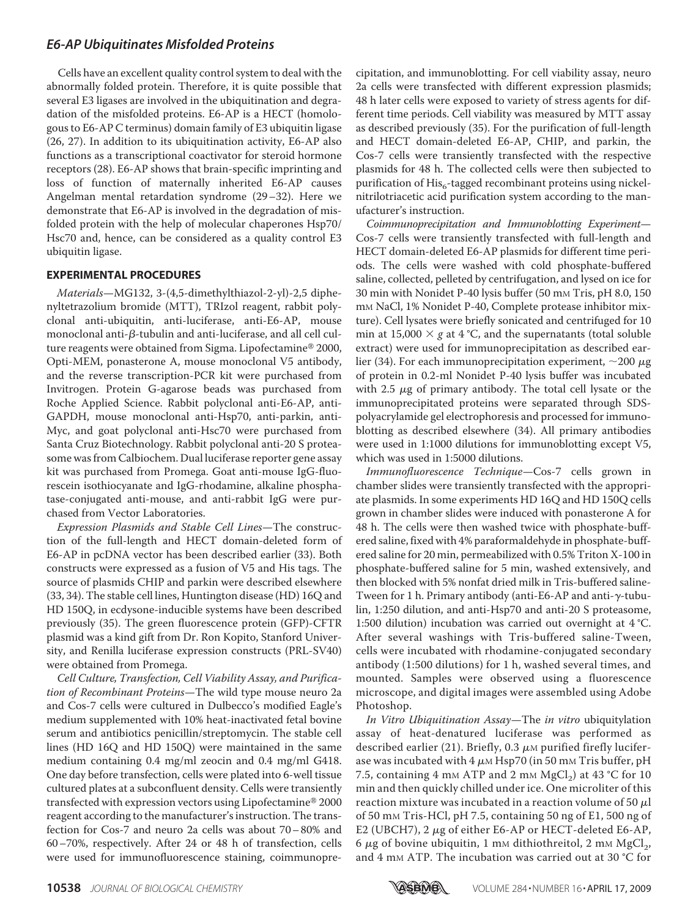Cells have an excellent quality control system to deal with the abnormally folded protein. Therefore, it is quite possible that several E3 ligases are involved in the ubiquitination and degradation of the misfolded proteins. E6-AP is a HECT (homologous to E6-AP C terminus) domain family of E3 ubiquitin ligase (26, 27). In addition to its ubiquitination activity, E6-AP also functions as a transcriptional coactivator for steroid hormone receptors (28). E6-AP shows that brain-specific imprinting and loss of function of maternally inherited E6-AP causes Angelman mental retardation syndrome (29–32). Here we demonstrate that E6-AP is involved in the degradation of misfolded protein with the help of molecular chaperones Hsp70/ Hsc70 and, hence, can be considered as a quality control E3 ubiquitin ligase.

#### **EXPERIMENTAL PROCEDURES**

Materials—MG132, 3-(4,5-dimethylthiazol-2-yl)-2,5 diphenyltetrazolium bromide (MTT), TRIzol reagent, rabbit polyclonal anti-ubiquitin, anti-luciferase, anti-E6-AP, mouse monoclonal anti- $\beta$ -tubulin and anti-luciferase, and all cell culture reagents were obtained from Sigma. Lipofectamine® 2000, Opti-MEM, ponasterone A, mouse monoclonal V5 antibody, and the reverse transcription-PCR kit were purchased from Invitrogen. Protein G-agarose beads was purchased from Roche Applied Science. Rabbit polyclonal anti-E6-AP, anti-GAPDH, mouse monoclonal anti-Hsp70, anti-parkin, anti-Myc, and goat polyclonal anti-Hsc70 were purchased from Santa Cruz Biotechnology. Rabbit polyclonal anti-20 S proteasome was from Calbiochem. Dual luciferase reporter gene assay kit was purchased from Promega. Goat anti-mouse IgG-fluorescein isothiocyanate and IgG-rhodamine, alkaline phosphatase-conjugated anti-mouse, and anti-rabbit IgG were purchased from Vector Laboratories.

Expression Plasmids and Stable Cell Lines—The construction of the full-length and HECT domain-deleted form of E6-AP in pcDNA vector has been described earlier (33). Both constructs were expressed as a fusion of V5 and His tags. The source of plasmids CHIP and parkin were described elsewhere (33, 34). The stable cell lines, Huntington disease (HD) 16Q and HD 150Q, in ecdysone-inducible systems have been described previously (35). The green fluorescence protein (GFP)-CFTR plasmid was a kind gift from Dr. Ron Kopito, Stanford University, and Renilla luciferase expression constructs (PRL-SV40) were obtained from Promega.

Cell Culture, Transfection, Cell Viability Assay, and Purification of Recombinant Proteins—The wild type mouse neuro 2a and Cos-7 cells were cultured in Dulbecco's modified Eagle's medium supplemented with 10% heat-inactivated fetal bovine serum and antibiotics penicillin/streptomycin. The stable cell lines (HD 16Q and HD 150Q) were maintained in the same medium containing 0.4 mg/ml zeocin and 0.4 mg/ml G418. One day before transfection, cells were plated into 6-well tissue cultured plates at a subconfluent density. Cells were transiently transfected with expression vectors using Lipofectamine® 2000 reagent according to the manufacturer's instruction. The transfection for Cos-7 and neuro 2a cells was about 70– 80% and 60–70%, respectively. After 24 or 48 h of transfection, cells were used for immunofluorescence staining, coimmunoprecipitation, and immunoblotting. For cell viability assay, neuro 2a cells were transfected with different expression plasmids; 48 h later cells were exposed to variety of stress agents for different time periods. Cell viability was measured by MTT assay as described previously (35). For the purification of full-length and HECT domain-deleted E6-AP, CHIP, and parkin, the Cos-7 cells were transiently transfected with the respective plasmids for 48 h. The collected cells were then subjected to purification of  $\rm His_6\mbox{-}tagged$  recombinant proteins using nickelnitrilotriacetic acid purification system according to the manufacturer's instruction.

Coimmunoprecipitation and Immunoblotting Experiment— Cos-7 cells were transiently transfected with full-length and HECT domain-deleted E6-AP plasmids for different time periods. The cells were washed with cold phosphate-buffered saline, collected, pelleted by centrifugation, and lysed on ice for 30 min with Nonidet P-40 lysis buffer (50 mM Tris, pH 8.0, 150 mM NaCl, 1% Nonidet P-40, Complete protease inhibitor mixture). Cell lysates were briefly sonicated and centrifuged for 10 min at 15,000  $\times$  g at 4 °C, and the supernatants (total soluble extract) were used for immunoprecipitation as described earlier (34). For each immunoprecipitation experiment,  $\sim$  200  $\mu$ g of protein in 0.2-ml Nonidet P-40 lysis buffer was incubated with 2.5  $\mu$ g of primary antibody. The total cell lysate or the immunoprecipitated proteins were separated through SDSpolyacrylamide gel electrophoresis and processed for immunoblotting as described elsewhere (34). All primary antibodies were used in 1:1000 dilutions for immunoblotting except V5, which was used in 1:5000 dilutions.

Immunofluorescence Technique—Cos-7 cells grown in chamber slides were transiently transfected with the appropriate plasmids. In some experiments HD 16Q and HD 150Q cells grown in chamber slides were induced with ponasterone A for 48 h. The cells were then washed twice with phosphate-buffered saline, fixed with 4% paraformaldehyde in phosphate-buffered saline for 20 min, permeabilized with 0.5% Triton X-100 in phosphate-buffered saline for 5 min, washed extensively, and then blocked with 5% nonfat dried milk in Tris-buffered saline-Tween for 1 h. Primary antibody (anti-E6-AP and anti- $\gamma$ -tubulin, 1:250 dilution, and anti-Hsp70 and anti-20 S proteasome, 1:500 dilution) incubation was carried out overnight at 4 °C. After several washings with Tris-buffered saline-Tween, cells were incubated with rhodamine-conjugated secondary antibody (1:500 dilutions) for 1 h, washed several times, and mounted. Samples were observed using a fluorescence microscope, and digital images were assembled using Adobe Photoshop.

In Vitro Ubiquitination Assay—The in vitro ubiquitylation assay of heat-denatured luciferase was performed as described earlier (21). Briefly, 0.3  $\mu$ M purified firefly luciferase was incubated with 4  $\mu$ м Hsp70 (in 50 mм Tris buffer, pH 7.5, containing 4 mm ATP and 2 mm  $MgCl_2$ ) at 43 °C for 10 min and then quickly chilled under ice. One microliter of this reaction mixture was incubated in a reaction volume of 50  $\mu$ l of 50 mM Tris-HCl, pH 7.5, containing 50 ng of E1, 500 ng of E2 (UBCH7), 2  $\mu$ g of either E6-AP or HECT-deleted E6-AP, 6  $\mu$ g of bovine ubiquitin, 1 mm dithiothreitol, 2 mm MgCl<sub>2</sub>, and 4 mm ATP. The incubation was carried out at 30 °C for

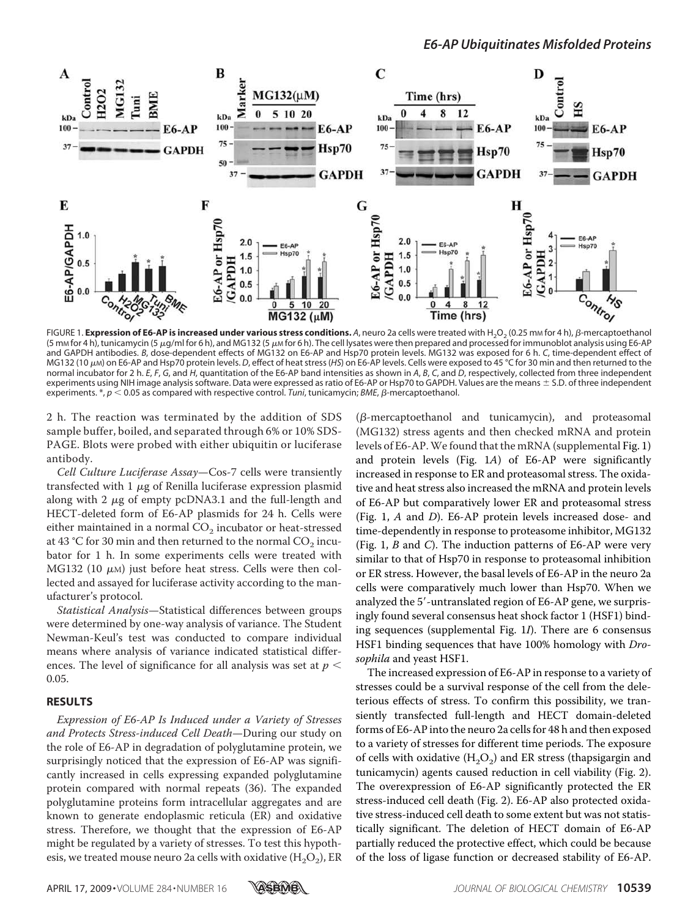

FIGURE 1. Expression of E6-AP is increased under various stress conditions. A, neuro 2a cells were treated with H<sub>2</sub>O<sub>2</sub> (0.25 mm for 4 h), *β*-mercaptoethanol (5 mm for 4 h), tunicamycin (5 µg/ml for 6 h), and MG132 (5 µm for 6 h). The cell lysates were then prepared and processed for immunoblot analysis using E6-AP and GAPDH antibodies. *B*, dose-dependent effects of MG132 on E6-AP and Hsp70 protein levels. MG132 was exposed for 6 h. *C*, time-dependent effect of MG132 (10 µм) on E6-AP and Hsp70 protein levels. *D*, effect of heat stress (HS) on E6-AP levels. Cells were exposed to 45 ℃ for 30 min and then returned to the normal incubator for 2 h. *E*, *F*, *G*, and *H*, quantitation of the E6-AP band intensities as shown in *A*, *B*, *C*, and *D*, respectively, collected from three independent experiments using NIH image analysis software. Data were expressed as ratio of E6-AP or Hsp70 to GAPDH. Values are the means  $\pm$  S.D. of three independent experiments.  $*$ ,  $p < 0.05$  as compared with respective control. *Tuni*, tunicamycin; *BME*,  $\beta$ -mercaptoethanol.

2 h. The reaction was terminated by the addition of SDS sample buffer, boiled, and separated through 6% or 10% SDS-PAGE. Blots were probed with either ubiquitin or luciferase antibody.

Cell Culture Luciferase Assay—Cos-7 cells were transiently transfected with  $1 \mu$ g of Renilla luciferase expression plasmid along with 2  $\mu$ g of empty pcDNA3.1 and the full-length and HECT-deleted form of E6-AP plasmids for 24 h. Cells were either maintained in a normal  $\mathrm{CO}_2$  incubator or heat-stressed at 43 °C for 30 min and then returned to the normal  $\mathrm{CO}_2$  incubator for 1 h. In some experiments cells were treated with  $MG132$  (10  $\mu$ M) just before heat stress. Cells were then collected and assayed for luciferase activity according to the manufacturer's protocol.

Statistical Analysis—Statistical differences between groups were determined by one-way analysis of variance. The Student Newman-Keul's test was conducted to compare individual means where analysis of variance indicated statistical differences. The level of significance for all analysis was set at  $p <$ 0.05.

#### **RESULTS**

Expression of E6-AP Is Induced under a Variety of Stresses and Protects Stress-induced Cell Death—During our study on the role of E6-AP in degradation of polyglutamine protein, we surprisingly noticed that the expression of E6-AP was significantly increased in cells expressing expanded polyglutamine protein compared with normal repeats (36). The expanded polyglutamine proteins form intracellular aggregates and are known to generate endoplasmic reticula (ER) and oxidative stress. Therefore, we thought that the expression of E6-AP might be regulated by a variety of stresses. To test this hypothesis, we treated mouse neuro 2a cells with oxidative ( $\mathrm{H}_{2}\mathrm{O}_{2}$ ), ER

 $(\beta$ -mercaptoethanol and tunicamycin), and proteasomal (MG132) stress agents and then checked mRNA and protein levels of E6-AP.We found that the mRNA (supplemental Fig. 1) and protein levels (Fig. 1A) of E6-AP were significantly increased in response to ER and proteasomal stress. The oxidative and heat stress also increased the mRNA and protein levels of E6-AP but comparatively lower ER and proteasomal stress (Fig. 1, A and D). E6-AP protein levels increased dose- and time-dependently in response to proteasome inhibitor, MG132 (Fig. 1, B and C). The induction patterns of E6-AP were very similar to that of Hsp70 in response to proteasomal inhibition or ER stress. However, the basal levels of E6-AP in the neuro 2a cells were comparatively much lower than Hsp70. When we analyzed the 5'-untranslated region of E6-AP gene, we surprisingly found several consensus heat shock factor 1 (HSF1) binding sequences (supplemental Fig. 1I). There are 6 consensus HSF1 binding sequences that have 100% homology with Drosophila and yeast HSF1.

The increased expression of E6-AP in response to a variety of stresses could be a survival response of the cell from the deleterious effects of stress. To confirm this possibility, we transiently transfected full-length and HECT domain-deleted forms of E6-AP into the neuro 2a cells for 48 h and then exposed to a variety of stresses for different time periods. The exposure of cells with oxidative  $(\mathrm{H_2O_2})$  and ER stress (thapsigargin and tunicamycin) agents caused reduction in cell viability (Fig. 2). The overexpression of E6-AP significantly protected the ER stress-induced cell death (Fig. 2). E6-AP also protected oxidative stress-induced cell death to some extent but was not statistically significant. The deletion of HECT domain of E6-AP partially reduced the protective effect, which could be because of the loss of ligase function or decreased stability of E6-AP.

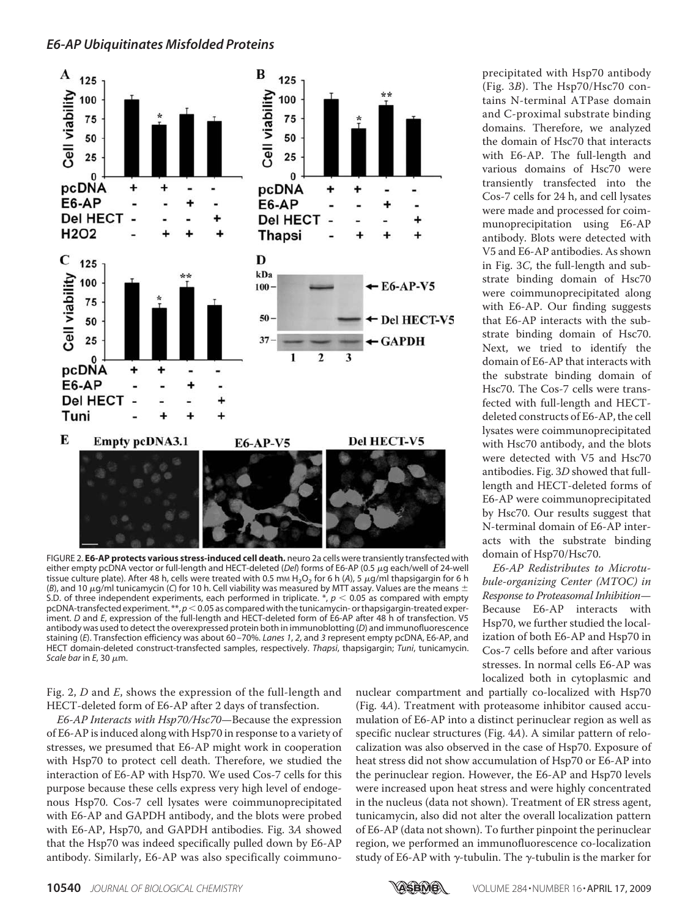

FIGURE 2. **E6-AP protects various stress-induced cell death.** neuro 2a cells were transiently transfected with either empty pcDNA vector or full-length and HECT-deleted (*Del*) forms of E6-AP (0.5 μg each/well of 24-well tissue culture plate). After 48 h, cells were treated with 0.5 mm H<sub>2</sub>O<sub>2</sub> for 6 h (A), 5  $\mu$ g/ml thapsigargin for 6 h (*B*), and 10  $\mu$ g/ml tunicamycin (*C*) for 10 h. Cell viability was measured by MTT assay. Values are the means  $\pm$ S.D. of three independent experiments, each performed in triplicate.  $*, p < 0.05$  as compared with empty pcDNA-transfected experiment.  $**$ ,  $p < 0.05$  as compared with the tunicamycin- or thapsigargin-treated experiment. *D* and *E*, expression of the full-length and HECT-deleted form of E6-AP after 48 h of transfection. V5 antibody was used to detect the overexpressed protein both in immunoblotting (*D*) and immunofluorescence staining (*E*). Transfection efficiency was about 60 –70%. *Lanes 1*, *2*, and *3* represent empty pcDNA, E6-AP, and HECT domain-deleted construct-transfected samples, respectively. *Thapsi*, thapsigargin; *Tuni*, tunicamycin.  $Scale$   $bar$  in  $E$ , 30  $\mu$ m.

Fig. 2, D and E, shows the expression of the full-length and HECT-deleted form of E6-AP after 2 days of transfection.

E6-AP Interacts with Hsp70/Hsc70—Because the expression of E6-AP is induced along with Hsp70 in response to a variety of stresses, we presumed that E6-AP might work in cooperation with Hsp70 to protect cell death. Therefore, we studied the interaction of E6-AP with Hsp70. We used Cos-7 cells for this purpose because these cells express very high level of endogenous Hsp70. Cos-7 cell lysates were coimmunoprecipitated with E6-AP and GAPDH antibody, and the blots were probed with E6-AP, Hsp70, and GAPDH antibodies. Fig. 3A showed that the Hsp70 was indeed specifically pulled down by E6-AP antibody. Similarly, E6-AP was also specifically coimmunoprecipitated with Hsp70 antibody (Fig. 3B). The Hsp70/Hsc70 contains N-terminal ATPase domain and C-proximal substrate binding domains. Therefore, we analyzed the domain of Hsc70 that interacts with E6-AP. The full-length and various domains of Hsc70 were transiently transfected into the Cos-7 cells for 24 h, and cell lysates were made and processed for coimmunoprecipitation using E6-AP antibody. Blots were detected with V5 and E6-AP antibodies. As shown in Fig. 3C, the full-length and substrate binding domain of Hsc70 were coimmunoprecipitated along with E6-AP. Our finding suggests that E6-AP interacts with the substrate binding domain of Hsc70. Next, we tried to identify the domain of E6-AP that interacts with the substrate binding domain of Hsc70. The Cos-7 cells were transfected with full-length and HECTdeleted constructs of E6-AP, the cell lysates were coimmunoprecipitated with Hsc70 antibody, and the blots were detected with V5 and Hsc70 antibodies. Fig. 3D showed that fulllength and HECT-deleted forms of E6-AP were coimmunoprecipitated by Hsc70. Our results suggest that N-terminal domain of E6-AP interacts with the substrate binding domain of Hsp70/Hsc70.

E6-AP Redistributes to Microtubule-organizing Center (MTOC) in Response to Proteasomal Inhibition— Because E6-AP interacts with Hsp70, we further studied the localization of both E6-AP and Hsp70 in Cos-7 cells before and after various stresses. In normal cells E6-AP was localized both in cytoplasmic and

nuclear compartment and partially co-localized with Hsp70 (Fig. 4A). Treatment with proteasome inhibitor caused accumulation of E6-AP into a distinct perinuclear region as well as specific nuclear structures (Fig. 4A). A similar pattern of relocalization was also observed in the case of Hsp70. Exposure of heat stress did not show accumulation of Hsp70 or E6-AP into the perinuclear region. However, the E6-AP and Hsp70 levels were increased upon heat stress and were highly concentrated in the nucleus (data not shown). Treatment of ER stress agent, tunicamycin, also did not alter the overall localization pattern of E6-AP (data not shown). To further pinpoint the perinuclear region, we performed an immunofluorescence co-localization study of E6-AP with  $\gamma$ -tubulin. The  $\gamma$ -tubulin is the marker for

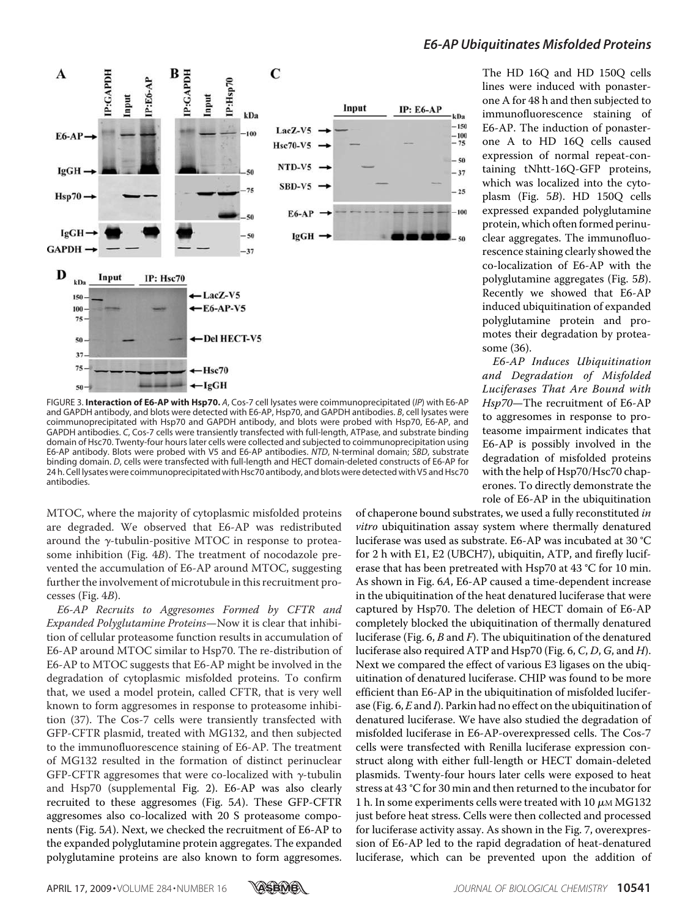

FIGURE 3. **Interaction of E6-AP with Hsp70.** *A*, Cos-7 cell lysates were coimmunoprecipitated (*IP*) with E6-AP and GAPDH antibody, and blots were detected with E6-AP, Hsp70, and GAPDH antibodies. *B*, cell lysates were coimmunoprecipitated with Hsp70 and GAPDH antibody, and blots were probed with Hsp70, E6-AP, and GAPDH antibodies. *C*, Cos-7 cells were transiently transfected with full-length, ATPase, and substrate binding domain of Hsc70. Twenty-four hours later cells were collected and subjected to coimmunoprecipitation using E6-AP antibody. Blots were probed with V5 and E6-AP antibodies. *NTD*, N-terminal domain; *SBD*, substrate binding domain. *D*, cells were transfected with full-length and HECT domain-deleted constructs of E6-AP for 24 h. Cell lysates were coimmunoprecipitated with Hsc70 antibody, and blots were detected with V5 and Hsc70 antibodies.

MTOC, where the majority of cytoplasmic misfolded proteins are degraded. We observed that E6-AP was redistributed around the  $\gamma$ -tubulin-positive MTOC in response to proteasome inhibition (Fig. 4B). The treatment of nocodazole prevented the accumulation of E6-AP around MTOC, suggesting further the involvement of microtubule in this recruitment processes (Fig. 4B).

E6-AP Recruits to Aggresomes Formed by CFTR and Expanded Polyglutamine Proteins—Now it is clear that inhibition of cellular proteasome function results in accumulation of E6-AP around MTOC similar to Hsp70. The re-distribution of E6-AP to MTOC suggests that E6-AP might be involved in the degradation of cytoplasmic misfolded proteins. To confirm that, we used a model protein, called CFTR, that is very well known to form aggresomes in response to proteasome inhibition (37). The Cos-7 cells were transiently transfected with GFP-CFTR plasmid, treated with MG132, and then subjected to the immunofluorescence staining of E6-AP. The treatment of MG132 resulted in the formation of distinct perinuclear GFP-CFTR aggresomes that were co-localized with  $\gamma$ -tubulin and Hsp70 (supplemental Fig. 2). E6-AP was also clearly recruited to these aggresomes (Fig. 5A). These GFP-CFTR aggresomes also co-localized with 20 S proteasome components (Fig. 5A). Next, we checked the recruitment of E6-AP to the expanded polyglutamine protein aggregates. The expanded polyglutamine proteins are also known to form aggresomes.

The HD 16Q and HD 150Q cells lines were induced with ponasterone A for 48 h and then subjected to immunofluorescence staining of E6-AP. The induction of ponasterone A to HD 16Q cells caused expression of normal repeat-containing tNhtt-16Q-GFP proteins, which was localized into the cytoplasm (Fig. 5B). HD 150Q cells expressed expanded polyglutamine protein, which often formed perinuclear aggregates. The immunofluorescence staining clearly showed the co-localization of E6-AP with the polyglutamine aggregates (Fig. 5B). Recently we showed that E6-AP induced ubiquitination of expanded polyglutamine protein and promotes their degradation by proteasome (36).

E6-AP Induces Ubiquitination and Degradation of Misfolded Luciferases That Are Bound with Hsp70—The recruitment of E6-AP to aggresomes in response to proteasome impairment indicates that E6-AP is possibly involved in the degradation of misfolded proteins with the help of Hsp70/Hsc70 chaperones. To directly demonstrate the role of E6-AP in the ubiquitination

of chaperone bound substrates, we used a fully reconstituted in vitro ubiquitination assay system where thermally denatured luciferase was used as substrate. E6-AP was incubated at 30 °C for 2 h with E1, E2 (UBCH7), ubiquitin, ATP, and firefly luciferase that has been pretreated with Hsp70 at 43 °C for 10 min. As shown in Fig. 6A, E6-AP caused a time-dependent increase in the ubiquitination of the heat denatured luciferase that were captured by Hsp70. The deletion of HECT domain of E6-AP completely blocked the ubiquitination of thermally denatured luciferase (Fig.  $6$ ,  $B$  and  $F$ ). The ubiquitination of the denatured luciferase also required ATP and Hsp70 (Fig. 6, C, D, G, and H). Next we compared the effect of various E3 ligases on the ubiquitination of denatured luciferase. CHIP was found to be more efficient than E6-AP in the ubiquitination of misfolded luciferase (Fig.  $6$ ,  $E$  and  $I$ ). Parkin had no effect on the ubiquitination of denatured luciferase. We have also studied the degradation of misfolded luciferase in E6-AP-overexpressed cells. The Cos-7 cells were transfected with Renilla luciferase expression construct along with either full-length or HECT domain-deleted plasmids. Twenty-four hours later cells were exposed to heat stress at 43 °C for 30 min and then returned to the incubator for 1 h. In some experiments cells were treated with 10  $\mu$ MMG132 just before heat stress. Cells were then collected and processed for luciferase activity assay. As shown in the Fig. 7, overexpression of E6-AP led to the rapid degradation of heat-denatured luciferase, which can be prevented upon the addition of

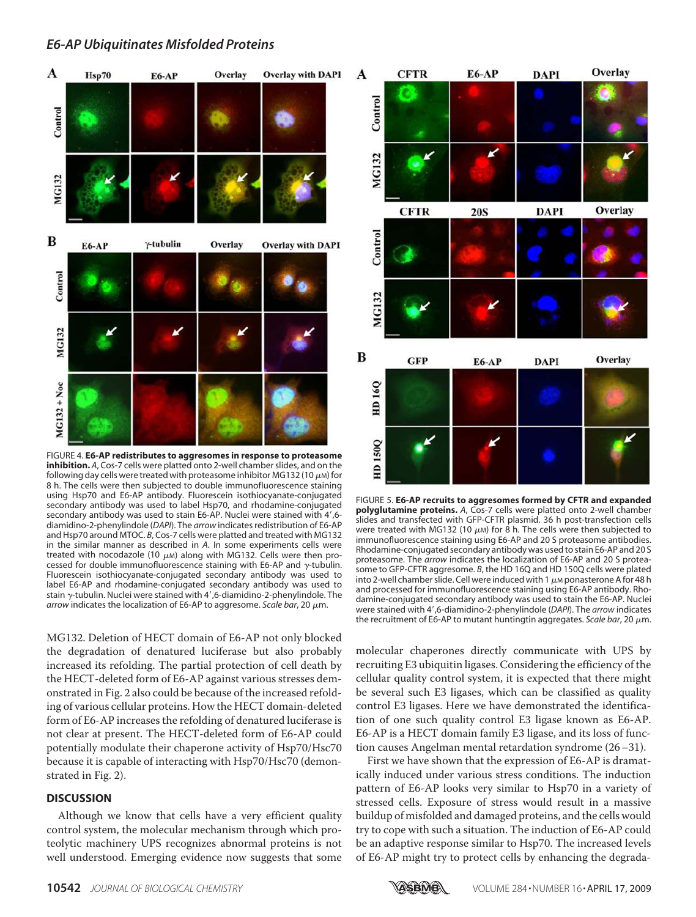

FIGURE 4. **E6-AP redistributes to aggresomes in response to proteasome inhibition.** *A*, Cos-7 cells were platted onto 2-well chamber slides, and on the following day cells were treated with proteasome inhibitor MG132 (10  $\mu$ м) for 8 h. The cells were then subjected to double immunofluorescence staining using Hsp70 and E6-AP antibody. Fluorescein isothiocyanate-conjugated secondary antibody was used to label Hsp70, and rhodamine-conjugated secondary antibody was used to stain E6-AP. Nuclei were stained with 4',6diamidino-2-phenylindole (*DAPI*). The *arrow* indicates redistribution of E6-AP and Hsp70 around MTOC. *B*, Cos-7 cells were platted and treated with MG132 in the similar manner as described in *A*. In some experiments cells were treated with nocodazole (10  $\mu$ m) along with MG132. Cells were then processed for double immunofluorescence staining with E6-AP and  $\gamma$ -tubulin. Fluorescein isothiocyanate-conjugated secondary antibody was used to label E6-AP and rhodamine-conjugated secondary antibody was used to stain  $\gamma$ -tubulin. Nuclei were stained with 4',6-diamidino-2-phenylindole. The arrow indicates the localization of E6-AP to aggresome. *Scale bar*, 20 μm.

MG132. Deletion of HECT domain of E6-AP not only blocked the degradation of denatured luciferase but also probably increased its refolding. The partial protection of cell death by the HECT-deleted form of E6-AP against various stresses demonstrated in Fig. 2 also could be because of the increased refolding of various cellular proteins. How the HECT domain-deleted form of E6-AP increases the refolding of denatured luciferase is not clear at present. The HECT-deleted form of E6-AP could potentially modulate their chaperone activity of Hsp70/Hsc70 because it is capable of interacting with Hsp70/Hsc70 (demonstrated in Fig. 2).

#### **DISCUSSION**

Although we know that cells have a very efficient quality control system, the molecular mechanism through which proteolytic machinery UPS recognizes abnormal proteins is not well understood. Emerging evidence now suggests that some



FIGURE 5. **E6-AP recruits to aggresomes formed by CFTR and expanded polyglutamine proteins.** *A*, Cos-7 cells were platted onto 2-well chamber slides and transfected with GFP-CFTR plasmid. 36 h post-transfection cells were treated with MG132 (10  $\mu$ m) for 8 h. The cells were then subjected to immunofluorescence staining using E6-AP and 20 S proteasome antibodies. Rhodamine-conjugated secondary antibody was used to stain E6-AP and 20 S proteasome. The *arrow* indicates the localization of E6-AP and 20 S proteasome to GFP-CFTR aggresome. *B*, the HD 16Q and HD 150Q cells were plated into 2-well chamber slide. Cell were induced with 1  $\mu$ m ponasterone A for 48 h and processed for immunofluorescence staining using E6-AP antibody. Rhodamine-conjugated secondary antibody was used to stain the E6-AP. Nuclei were stained with 4'.6-diamidino-2-phenylindole (*DAPI*). The *arrow* indicates the recruitment of E6-AP to mutant huntingtin aggregates. *Scale bar*, 20  $\mu$ m.

molecular chaperones directly communicate with UPS by recruiting E3 ubiquitin ligases. Considering the efficiency of the cellular quality control system, it is expected that there might be several such E3 ligases, which can be classified as quality control E3 ligases. Here we have demonstrated the identification of one such quality control E3 ligase known as E6-AP. E6-AP is a HECT domain family E3 ligase, and its loss of function causes Angelman mental retardation syndrome (26–31).

First we have shown that the expression of E6-AP is dramatically induced under various stress conditions. The induction pattern of E6-AP looks very similar to Hsp70 in a variety of stressed cells. Exposure of stress would result in a massive buildup of misfolded and damaged proteins, and the cells would try to cope with such a situation. The induction of E6-AP could be an adaptive response similar to Hsp70. The increased levels of E6-AP might try to protect cells by enhancing the degrada-

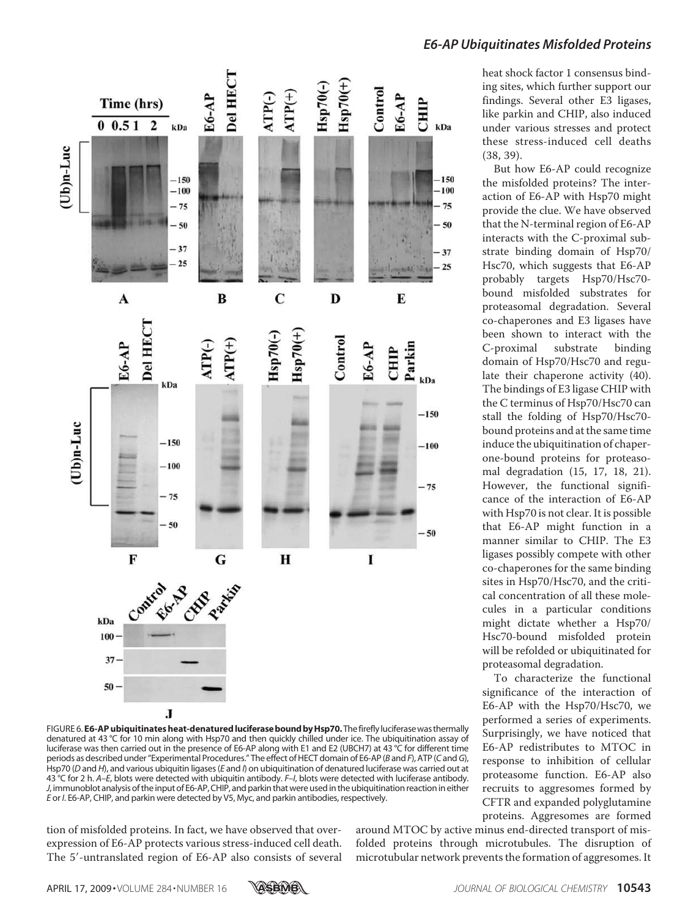

FIGURE 6. **E6-AP ubiquitinates heat-denaturedluciferase bound by Hsp70.**The firefly luciferase was thermally denatured at 43 °C for 10 min along with Hsp70 and then quickly chilled under ice. The ubiquitination assay of luciferase was then carried out in the presence of E6-AP along with E1 and E2 (UBCH7) at 43 °C for different time periods as described under "Experimental Procedures." The effect of HECT domain of E6-AP (*B* and *F*), ATP (*C* and*G*), Hsp70 (*D* and *H*), and various ubiquitin ligases (*E* and *I*) on ubiquitination of denatured luciferase was carried out at 43 °C for 2 h. *A–E*, blots were detected with ubiquitin antibody. *F*–*I*, blots were detected with luciferase antibody. *J*, immunoblot analysis of the input of E6-AP, CHIP, and parkin that were used in the ubiquitination reaction in either *E* or *I*. E6-AP, CHIP, and parkin were detected by V5, Myc, and parkin antibodies, respectively.

tion of misfolded proteins. In fact, we have observed that overexpression of E6-AP protects various stress-induced cell death. The 5'-untranslated region of E6-AP also consists of several

around MTOC by active minus end-directed transport of misfolded proteins through microtubules. The disruption of microtubular network prevents the formation of aggresomes. It

# *E6-AP Ubiquitinates Misfolded Proteins*

heat shock factor 1 consensus binding sites, which further support our findings. Several other E3 ligases, like parkin and CHIP, also induced under various stresses and protect these stress-induced cell deaths (38, 39).

But how E6-AP could recognize the misfolded proteins? The interaction of E6-AP with Hsp70 might provide the clue. We have observed that the N-terminal region of E6-AP interacts with the C-proximal substrate binding domain of Hsp70/ Hsc70, which suggests that E6-AP probably targets Hsp70/Hsc70 bound misfolded substrates for proteasomal degradation. Several co-chaperones and E3 ligases have been shown to interact with the C-proximal substrate binding domain of Hsp70/Hsc70 and regulate their chaperone activity (40). The bindings of E3 ligase CHIP with the C terminus of Hsp70/Hsc70 can stall the folding of Hsp70/Hsc70 bound proteins and at the same time induce the ubiquitination of chaperone-bound proteins for proteasomal degradation (15, 17, 18, 21). However, the functional significance of the interaction of E6-AP with Hsp70 is not clear. It is possible that E6-AP might function in a manner similar to CHIP. The E3 ligases possibly compete with other co-chaperones for the same binding sites in Hsp70/Hsc70, and the critical concentration of all these molecules in a particular conditions might dictate whether a Hsp70/ Hsc70-bound misfolded protein will be refolded or ubiquitinated for proteasomal degradation.

To characterize the functional significance of the interaction of E6-AP with the Hsp70/Hsc70, we performed a series of experiments. Surprisingly, we have noticed that E6-AP redistributes to MTOC in response to inhibition of cellular proteasome function. E6-AP also recruits to aggresomes formed by CFTR and expanded polyglutamine proteins. Aggresomes are formed

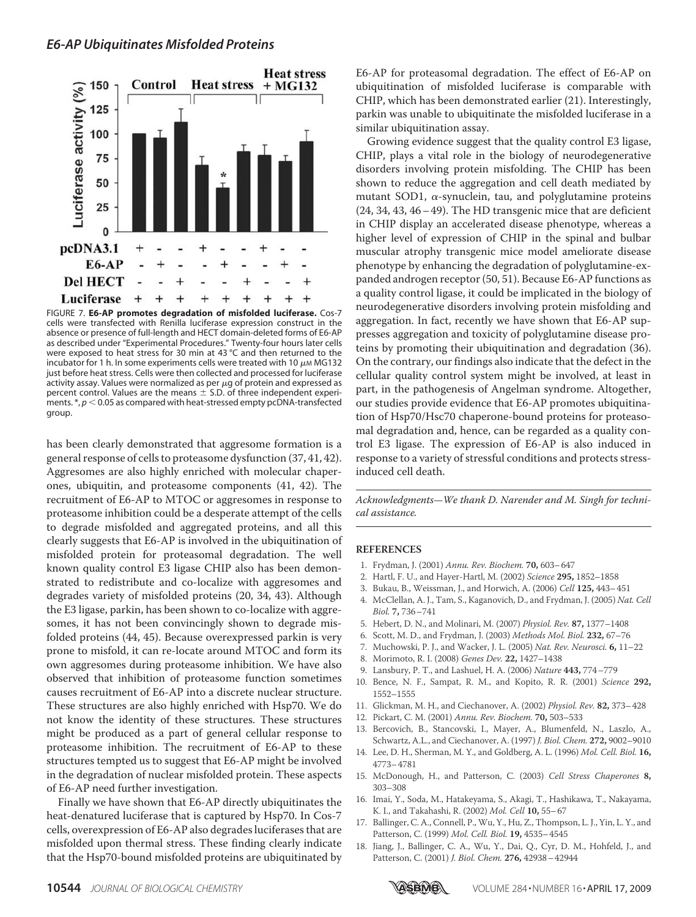

FIGURE 7. **E6-AP promotes degradation of misfolded luciferase.** Cos-7 cells were transfected with Renilla luciferase expression construct in the absence or presence of full-length and HECT domain-deleted forms of E6-AP as described under "Experimental Procedures." Twenty-four hours later cells were exposed to heat stress for 30 min at 43 °C and then returned to the incubator for 1 h. In some experiments cells were treated with 10  $\mu$ м MG132 just before heat stress. Cells were then collected and processed for luciferase activity assay. Values were normalized as per  $\mu$ g of protein and expressed as percent control. Values are the means  $\pm$  S.D. of three independent experiments.  $*, p < 0.05$  as compared with heat-stressed empty pcDNA-transfected group.

has been clearly demonstrated that aggresome formation is a general response of cells to proteasome dysfunction (37, 41, 42). Aggresomes are also highly enriched with molecular chaperones, ubiquitin, and proteasome components (41, 42). The recruitment of E6-AP to MTOC or aggresomes in response to proteasome inhibition could be a desperate attempt of the cells to degrade misfolded and aggregated proteins, and all this clearly suggests that E6-AP is involved in the ubiquitination of misfolded protein for proteasomal degradation. The well known quality control E3 ligase CHIP also has been demonstrated to redistribute and co-localize with aggresomes and degrades variety of misfolded proteins (20, 34, 43). Although the E3 ligase, parkin, has been shown to co-localize with aggresomes, it has not been convincingly shown to degrade misfolded proteins (44, 45). Because overexpressed parkin is very prone to misfold, it can re-locate around MTOC and form its own aggresomes during proteasome inhibition. We have also observed that inhibition of proteasome function sometimes causes recruitment of E6-AP into a discrete nuclear structure. These structures are also highly enriched with Hsp70. We do not know the identity of these structures. These structures might be produced as a part of general cellular response to proteasome inhibition. The recruitment of E6-AP to these structures tempted us to suggest that E6-AP might be involved in the degradation of nuclear misfolded protein. These aspects of E6-AP need further investigation.

Finally we have shown that E6-AP directly ubiquitinates the heat-denatured luciferase that is captured by Hsp70. In Cos-7 cells, overexpression of E6-AP also degrades luciferases that are misfolded upon thermal stress. These finding clearly indicate that the Hsp70-bound misfolded proteins are ubiquitinated by

E6-AP for proteasomal degradation. The effect of E6-AP on ubiquitination of misfolded luciferase is comparable with CHIP, which has been demonstrated earlier (21). Interestingly, parkin was unable to ubiquitinate the misfolded luciferase in a similar ubiquitination assay.

Growing evidence suggest that the quality control E3 ligase, CHIP, plays a vital role in the biology of neurodegenerative disorders involving protein misfolding. The CHIP has been shown to reduce the aggregation and cell death mediated by mutant SOD1,  $\alpha$ -synuclein, tau, and polyglutamine proteins  $(24, 34, 43, 46 - 49)$ . The HD transgenic mice that are deficient in CHIP display an accelerated disease phenotype, whereas a higher level of expression of CHIP in the spinal and bulbar muscular atrophy transgenic mice model ameliorate disease phenotype by enhancing the degradation of polyglutamine-expanded androgen receptor (50, 51). Because E6-AP functions as a quality control ligase, it could be implicated in the biology of neurodegenerative disorders involving protein misfolding and aggregation. In fact, recently we have shown that E6-AP suppresses aggregation and toxicity of polyglutamine disease proteins by promoting their ubiquitination and degradation (36). On the contrary, our findings also indicate that the defect in the cellular quality control system might be involved, at least in part, in the pathogenesis of Angelman syndrome. Altogether, our studies provide evidence that E6-AP promotes ubiquitination of Hsp70/Hsc70 chaperone-bound proteins for proteasomal degradation and, hence, can be regarded as a quality control E3 ligase. The expression of E6-AP is also induced in response to a variety of stressful conditions and protects stressinduced cell death.

Acknowledgments—We thank D. Narender and M. Singh for technical assistance.

#### **REFERENCES**

- 1. Frydman, J. (2001) Annu. Rev. Biochem. **70,** 603–647
- 2. Hartl, F. U., and Hayer-Hartl, M. (2002) Science **295,** 1852–1858
- 3. Bukau, B., Weissman, J., and Horwich, A. (2006) Cell **125,** 443–451
- 4. McClellan, A. J., Tam, S., Kaganovich, D., and Frydman, J. (2005) Nat. Cell Biol. **7,** 736–741
- 5. Hebert, D. N., and Molinari, M. (2007) Physiol. Rev. **87,** 1377–1408
- 6. Scott, M. D., and Frydman, J. (2003) Methods Mol. Biol. **232,** 67–76
- 7. Muchowski, P. J., and Wacker, J. L. (2005) Nat. Rev. Neurosci. **6,** 11–22
- 8. Morimoto, R. I. (2008) Genes Dev. **22,** 1427–1438
- 9. Lansbury, P. T., and Lashuel, H. A. (2006) Nature **443,** 774–779
- 10. Bence, N. F., Sampat, R. M., and Kopito, R. R. (2001) Science **292,** 1552–1555
- 11. Glickman, M. H., and Ciechanover, A. (2002) Physiol. Rev. **82,** 373–428
- 12. Pickart, C. M. (2001) Annu. Rev. Biochem. **70,** 503–533
- 13. Bercovich, B., Stancovski, I., Mayer, A., Blumenfeld, N., Laszlo, A., Schwartz, A.L., and Ciechanover, A. (1997) J. Biol. Chem. **272,** 9002–9010
- 14. Lee, D. H., Sherman, M. Y., and Goldberg, A. L. (1996) Mol. Cell. Biol. **16,** 4773–4781
- 15. McDonough, H., and Patterson, C. (2003) Cell Stress Chaperones **8,** 303–308
- 16. Imai, Y., Soda, M., Hatakeyama, S., Akagi, T., Hashikawa, T., Nakayama, K. I., and Takahashi, R. (2002) Mol. Cell **10,** 55–67
- 17. Ballinger, C. A., Connell, P., Wu, Y., Hu, Z., Thompson, L. J., Yin, L. Y., and Patterson, C. (1999) Mol. Cell. Biol. **19,** 4535–4545
- 18. Jiang, J., Ballinger, C. A., Wu, Y., Dai, Q., Cyr, D. M., Hohfeld, J., and Patterson, C. (2001) J. Biol. Chem. **276,** 42938–42944